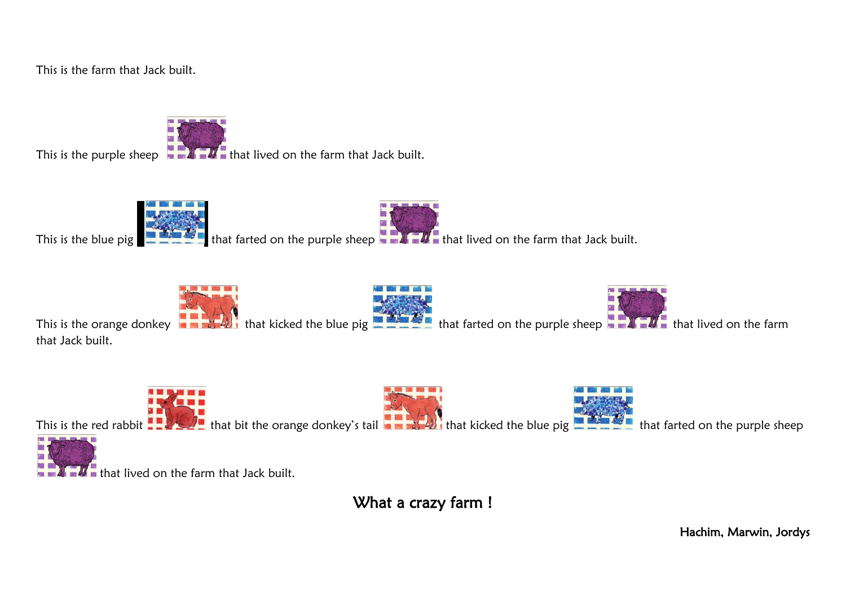This is the farm that Jack built.

This is the purple sheep  $\blacksquare$   $\blacksquare$  that lived on the farm that Jack built.

This is the blue pig that that farted on the purple sheep that  $\bm{M}$  that lived on the farm that Jack built.

This is the orange donkey that  $\sum_{i=1}^N$  that kicked the blue pig that farted on the purple sheep that  $\sum_{i=1}^N$  that lived on the farm that Jack built.

This is the red rabbit  $\blacksquare$  that bit the orange donkey's tail  $\blacksquare$  that kicked the blue pig  $\blacksquare$  that farted on the purple sheep that lived on the farm that Jack built.

What a crazy farm !

Hachim, Marwin, Jordys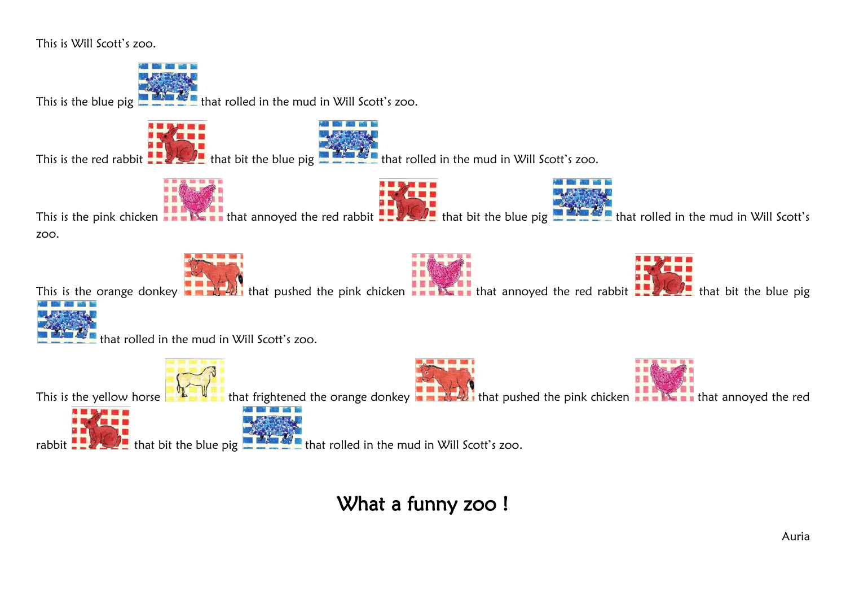

This is the blue pig  $\blacksquare$   $\blacksquare$  that rolled in the mud in Will Scott's zoo.

This is the red rabbit  $\frac{1}{2}$   $\frac{1}{2}$  that bit the blue pig  $\frac{1}{2}$  that rolled in the mud in Will Scott's zoo.





rabbit  $\frac{1}{2}$  that bit the blue pig  $\frac{1}{2}$  that rolled in the mud in Will Scott's zoo.

What a funny zoo !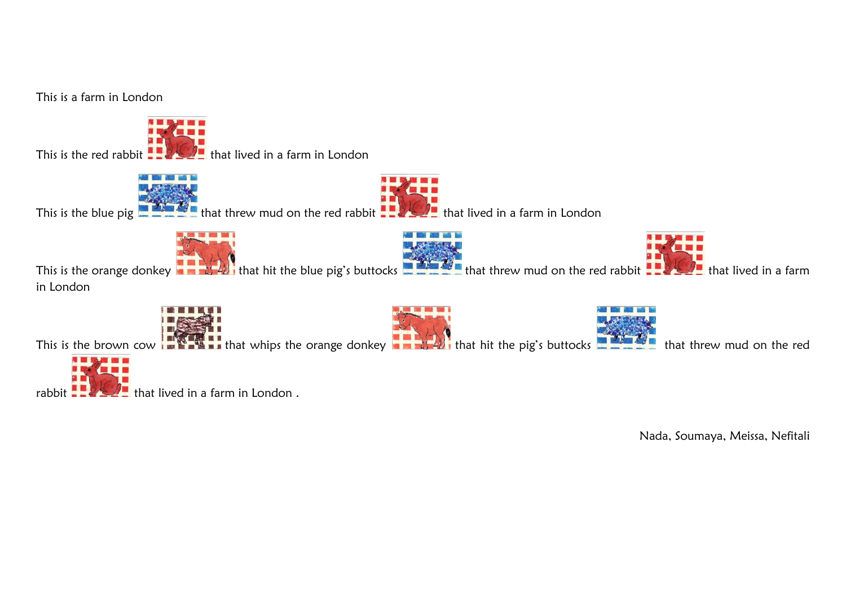

Nada, Soumaya, Meissa, Nefitali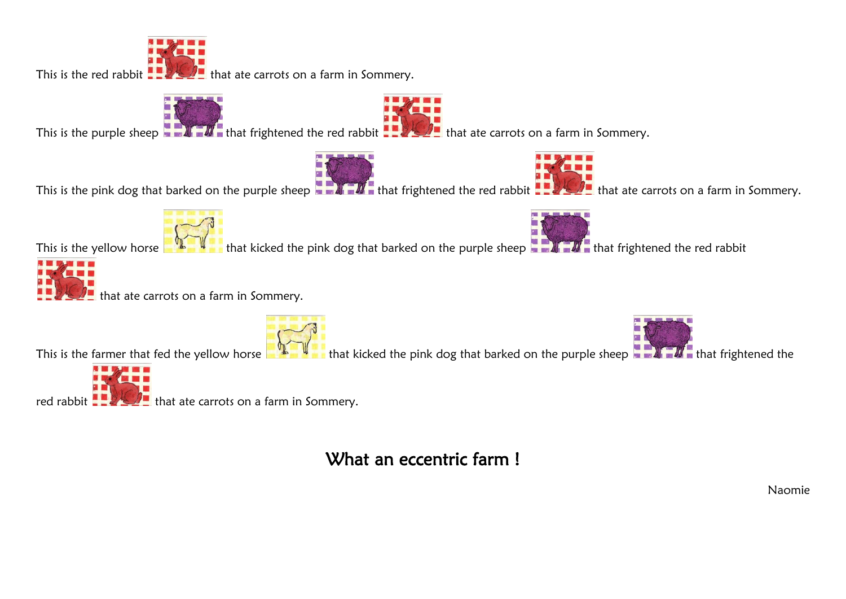

This is the purple sheep  $\blacksquare$  that frightened the red rabbit  $\blacksquare$  that ate carrots on a farm in Sommery.

This is the pink dog that barked on the purple sheep  $\blacksquare$  that frightened the red rabbit  $\blacksquare$  that ate carrots on a farm in Sommery.





This is the yellow horse that with that kicked the pink dog that barked on the purple sheep that  $\mathcal{H}$  that frightened the red rabbit



that ate carrots on a farm in Sommery.

This is the farmer that fed the yellow horse that  $\frac{1}{2}$  that kicked the pink dog that barked on the purple sheep that  $\frac{1}{2}$  that frightened the



red rabbit  $\frac{1}{2}$   $\frac{1}{2}$  that ate carrots on a farm in Sommery.

## What an eccentric farm!

Naomie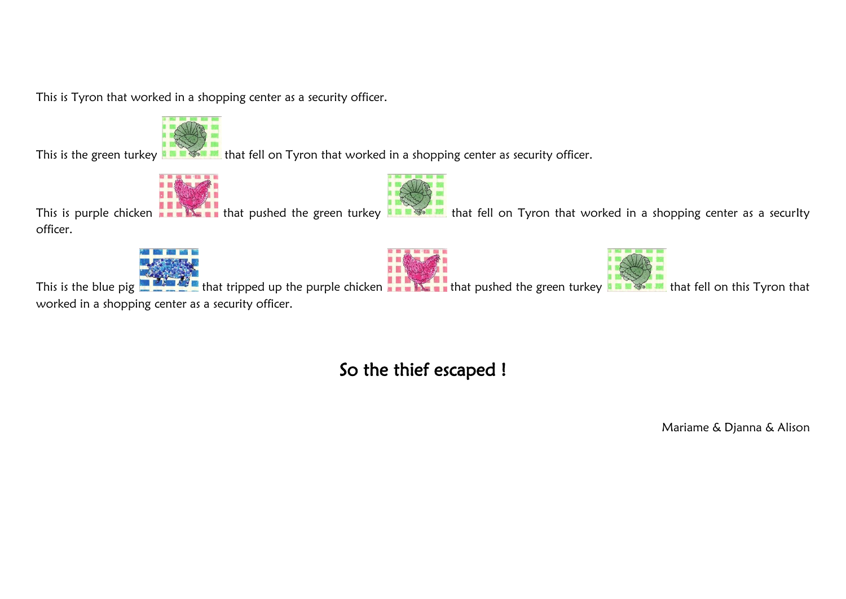This is Tyron that worked in a shopping center as a security officer.



This is the green turkey **that**  $\frac{1}{2}$  that fell on Tyron that worked in a shopping center as security officer.





This is purple chicken **that in that pushed the green turkey that set in** that fell on Tyron that worked in a shopping center as a securIty officer.







This is the blue pig that tripped up the purple chicken that  $\sum_{i=1}^{\infty}$  that pushed the green turkey that fell on this Tyron that worked in a shopping center as a security officer.

## So the thief escaped !

Mariame & Djanna & Alison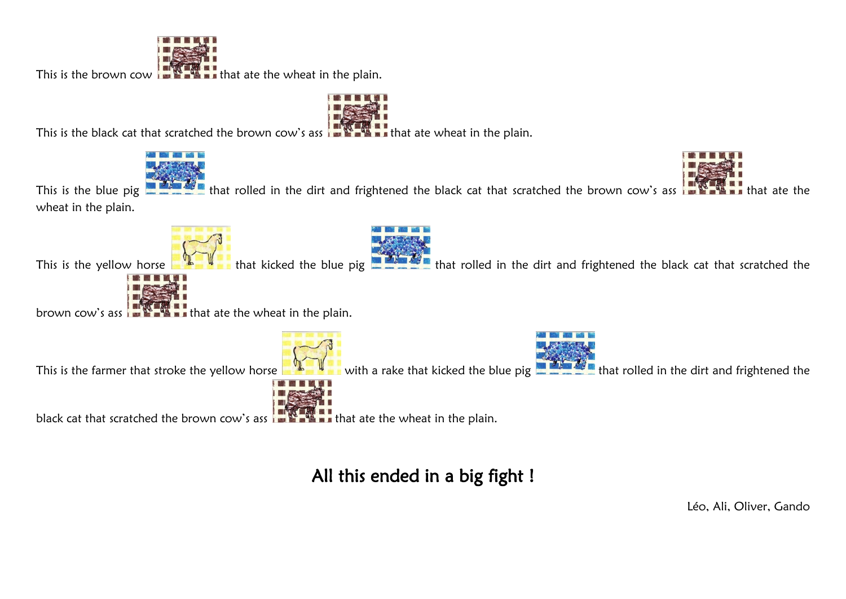

This is the brown cow  $\frac{1}{1}$   $\frac{1}{1}$   $\frac{1}{1}$  that ate the wheat in the plain.

This is the black cat that scratched the brown cow's ass  $\frac{1}{2}$ . That ate wheat in the plain.





This is the blue pig that rolled in the dirt and frightened the black cat that scratched the brown cow's ass that ate the wheat in the plain.

This is the yellow horse **that that kicked the blue pig that folled** in the dirt and frightened the black cat that scratched the



brown cow's ass  $\frac{1}{2}$   $\frac{1}{2}$  that ate the wheat in the plain.





This is the farmer that stroke the yellow horse with a rake that kicked the blue pig **that rolled in the dirt and frightened the** 



black cat that scratched the brown cow's ass  $\frac{1}{2}$   $\frac{1}{2}$  that ate the wheat in the plain.

All this ended in a big fight !

Léo, Ali, Oliver, Gando